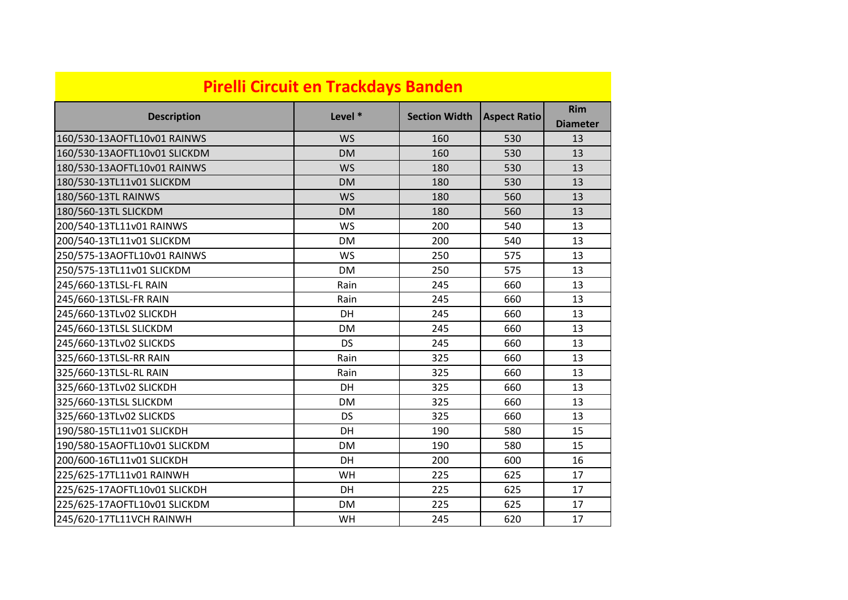| <b>Pirelli Circuit en Trackdays Banden</b> |           |                      |                     |                               |
|--------------------------------------------|-----------|----------------------|---------------------|-------------------------------|
| <b>Description</b>                         | Level *   | <b>Section Width</b> | <b>Aspect Ratio</b> | <b>Rim</b><br><b>Diameter</b> |
| 160/530-13AOFTL10v01 RAINWS                | <b>WS</b> | 160                  | 530                 | 13                            |
| 160/530-13AOFTL10v01 SLICKDM               | <b>DM</b> | 160                  | 530                 | 13                            |
| 180/530-13AOFTL10v01 RAINWS                | <b>WS</b> | 180                  | 530                 | 13                            |
| 180/530-13TL11v01 SLICKDM                  | <b>DM</b> | 180                  | 530                 | 13                            |
| 180/560-13TL RAINWS                        | <b>WS</b> | 180                  | 560                 | 13                            |
| 180/560-13TL SLICKDM                       | <b>DM</b> | 180                  | 560                 | 13                            |
| 200/540-13TL11v01 RAINWS                   | WS        | 200                  | 540                 | 13                            |
| 200/540-13TL11v01 SLICKDM                  | <b>DM</b> | 200                  | 540                 | 13                            |
| 250/575-13AOFTL10v01 RAINWS                | WS        | 250                  | 575                 | 13                            |
| 250/575-13TL11v01 SLICKDM                  | <b>DM</b> | 250                  | 575                 | 13                            |
| 245/660-13TLSL-FL RAIN                     | Rain      | 245                  | 660                 | 13                            |
| 245/660-13TLSL-FR RAIN                     | Rain      | 245                  | 660                 | 13                            |
| 245/660-13TLv02 SLICKDH                    | <b>DH</b> | 245                  | 660                 | 13                            |
| 245/660-13TLSL SLICKDM                     | <b>DM</b> | 245                  | 660                 | 13                            |
| 245/660-13TLv02 SLICKDS                    | <b>DS</b> | 245                  | 660                 | 13                            |
| 325/660-13TLSL-RR RAIN                     | Rain      | 325                  | 660                 | 13                            |
| 325/660-13TLSL-RL RAIN                     | Rain      | 325                  | 660                 | 13                            |
| 325/660-13TLv02 SLICKDH                    | <b>DH</b> | 325                  | 660                 | 13                            |
| 325/660-13TLSL SLICKDM                     | <b>DM</b> | 325                  | 660                 | 13                            |
| 325/660-13TLv02 SLICKDS                    | <b>DS</b> | 325                  | 660                 | 13                            |
| 190/580-15TL11v01 SLICKDH                  | DH        | 190                  | 580                 | 15                            |
| 190/580-15AOFTL10v01 SLICKDM               | <b>DM</b> | 190                  | 580                 | 15                            |
| 200/600-16TL11v01 SLICKDH                  | DH        | 200                  | 600                 | 16                            |
| 225/625-17TL11v01 RAINWH                   | WH        | 225                  | 625                 | 17                            |
| 225/625-17AOFTL10v01 SLICKDH               | <b>DH</b> | 225                  | 625                 | 17                            |
| 225/625-17AOFTL10v01 SLICKDM               | <b>DM</b> | 225                  | 625                 | 17                            |
| 245/620-17TL11VCH RAINWH                   | WH        | 245                  | 620                 | 17                            |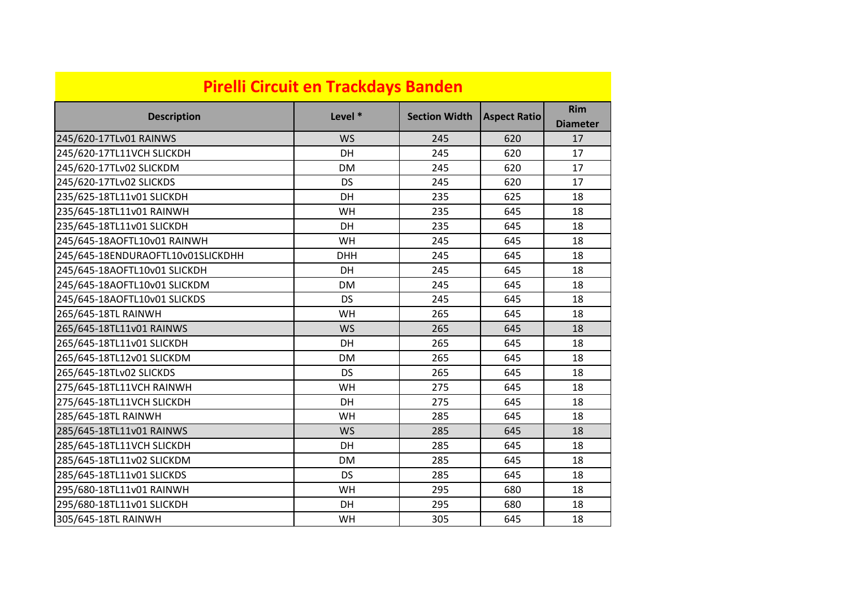| <b>Pirelli Circuit en Trackdays Banden</b> |            |                      |                     |                               |
|--------------------------------------------|------------|----------------------|---------------------|-------------------------------|
| <b>Description</b>                         | Level *    | <b>Section Width</b> | <b>Aspect Ratio</b> | <b>Rim</b><br><b>Diameter</b> |
| 245/620-17TLv01 RAINWS                     | <b>WS</b>  | 245                  | 620                 | 17                            |
| 245/620-17TL11VCH SLICKDH                  | DH         | 245                  | 620                 | 17                            |
| 245/620-17TLv02 SLICKDM                    | <b>DM</b>  | 245                  | 620                 | 17                            |
| 245/620-17TLv02 SLICKDS                    | <b>DS</b>  | 245                  | 620                 | 17                            |
| 235/625-18TL11v01 SLICKDH                  | DH         | 235                  | 625                 | 18                            |
| 235/645-18TL11v01 RAINWH                   | WH         | 235                  | 645                 | 18                            |
| 235/645-18TL11v01 SLICKDH                  | <b>DH</b>  | 235                  | 645                 | 18                            |
| 245/645-18AOFTL10v01 RAINWH                | WH         | 245                  | 645                 | 18                            |
| 245/645-18ENDURAOFTL10v01SLICKDHH          | <b>DHH</b> | 245                  | 645                 | 18                            |
| 245/645-18AOFTL10v01 SLICKDH               | DH         | 245                  | 645                 | 18                            |
| 245/645-18AOFTL10v01 SLICKDM               | DM         | 245                  | 645                 | 18                            |
| 245/645-18AOFTL10v01 SLICKDS               | <b>DS</b>  | 245                  | 645                 | 18                            |
| 265/645-18TL RAINWH                        | WH         | 265                  | 645                 | 18                            |
| 265/645-18TL11v01 RAINWS                   | <b>WS</b>  | 265                  | 645                 | 18                            |
| 265/645-18TL11v01 SLICKDH                  | DH         | 265                  | 645                 | 18                            |
| 265/645-18TL12v01 SLICKDM                  | <b>DM</b>  | 265                  | 645                 | 18                            |
| 265/645-18TLv02 SLICKDS                    | <b>DS</b>  | 265                  | 645                 | 18                            |
| 275/645-18TL11VCH RAINWH                   | WH         | 275                  | 645                 | 18                            |
| 275/645-18TL11VCH SLICKDH                  | DH         | 275                  | 645                 | 18                            |
| 285/645-18TL RAINWH                        | WH         | 285                  | 645                 | 18                            |
| 285/645-18TL11v01 RAINWS                   | <b>WS</b>  | 285                  | 645                 | 18                            |
| 285/645-18TL11VCH SLICKDH                  | <b>DH</b>  | 285                  | 645                 | 18                            |
| 285/645-18TL11v02 SLICKDM                  | <b>DM</b>  | 285                  | 645                 | 18                            |
| 285/645-18TL11v01 SLICKDS                  | <b>DS</b>  | 285                  | 645                 | 18                            |
| 295/680-18TL11v01 RAINWH                   | WH         | 295                  | 680                 | 18                            |
| 295/680-18TL11v01 SLICKDH                  | DH         | 295                  | 680                 | 18                            |
| 305/645-18TL RAINWH                        | WH         | 305                  | 645                 | 18                            |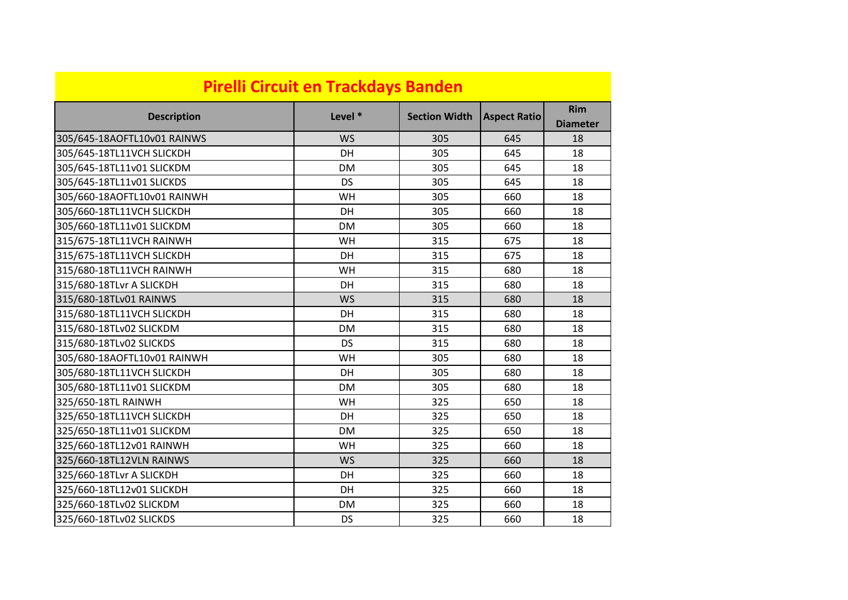| <b>Pirelli Circuit en Trackdays Banden</b> |           |                      |                     |                               |
|--------------------------------------------|-----------|----------------------|---------------------|-------------------------------|
| <b>Description</b>                         | Level *   | <b>Section Width</b> | <b>Aspect Ratio</b> | <b>Rim</b><br><b>Diameter</b> |
| 305/645-18AOFTL10v01 RAINWS                | <b>WS</b> | 305                  | 645                 | 18                            |
| 305/645-18TL11VCH SLICKDH                  | DH        | 305                  | 645                 | 18                            |
| 305/645-18TL11v01 SLICKDM                  | <b>DM</b> | 305                  | 645                 | 18                            |
| 305/645-18TL11v01 SLICKDS                  | <b>DS</b> | 305                  | 645                 | 18                            |
| 305/660-18AOFTL10v01 RAINWH                | WH        | 305                  | 660                 | 18                            |
| 305/660-18TL11VCH SLICKDH                  | DH        | 305                  | 660                 | 18                            |
| 305/660-18TL11v01 SLICKDM                  | <b>DM</b> | 305                  | 660                 | 18                            |
| 315/675-18TL11VCH RAINWH                   | WH        | 315                  | 675                 | 18                            |
| 315/675-18TL11VCH SLICKDH                  | DH        | 315                  | 675                 | 18                            |
| 315/680-18TL11VCH RAINWH                   | WH        | 315                  | 680                 | 18                            |
| 315/680-18TLvr A SLICKDH                   | DH        | 315                  | 680                 | 18                            |
| 315/680-18TLv01 RAINWS                     | <b>WS</b> | 315                  | 680                 | 18                            |
| 315/680-18TL11VCH SLICKDH                  | DH        | 315                  | 680                 | 18                            |
| 315/680-18TLv02 SLICKDM                    | <b>DM</b> | 315                  | 680                 | 18                            |
| 315/680-18TLv02 SLICKDS                    | <b>DS</b> | 315                  | 680                 | 18                            |
| 305/680-18AOFTL10v01 RAINWH                | WH        | 305                  | 680                 | 18                            |
| 305/680-18TL11VCH SLICKDH                  | DH        | 305                  | 680                 | 18                            |
| 305/680-18TL11v01 SLICKDM                  | <b>DM</b> | 305                  | 680                 | 18                            |
| 325/650-18TL RAINWH                        | WH        | 325                  | 650                 | 18                            |
| 325/650-18TL11VCH SLICKDH                  | DH        | 325                  | 650                 | 18                            |
| 325/650-18TL11v01 SLICKDM                  | DM        | 325                  | 650                 | 18                            |
| 325/660-18TL12v01 RAINWH                   | WH        | 325                  | 660                 | 18                            |
| 325/660-18TL12VLN RAINWS                   | <b>WS</b> | 325                  | 660                 | 18                            |
| 325/660-18TLvr A SLICKDH                   | DH        | 325                  | 660                 | 18                            |
| 325/660-18TL12v01 SLICKDH                  | DH        | 325                  | 660                 | 18                            |
| 325/660-18TLv02 SLICKDM                    | <b>DM</b> | 325                  | 660                 | 18                            |
| 325/660-18TLv02 SLICKDS                    | <b>DS</b> | 325                  | 660                 | 18                            |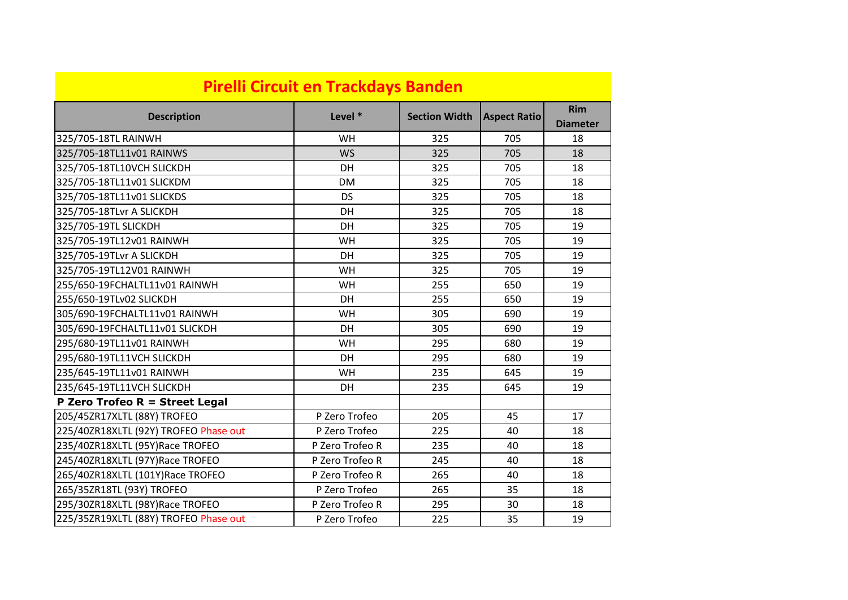| <b>Pirelli Circuit en Trackdays Banden</b> |                 |                      |                     |                               |
|--------------------------------------------|-----------------|----------------------|---------------------|-------------------------------|
| <b>Description</b>                         | Level *         | <b>Section Width</b> | <b>Aspect Ratio</b> | <b>Rim</b><br><b>Diameter</b> |
| 325/705-18TL RAINWH                        | <b>WH</b>       | 325                  | 705                 | 18                            |
| 325/705-18TL11v01 RAINWS                   | <b>WS</b>       | 325                  | 705                 | 18                            |
| 325/705-18TL10VCH SLICKDH                  | <b>DH</b>       | 325                  | 705                 | 18                            |
| 325/705-18TL11v01 SLICKDM                  | <b>DM</b>       | 325                  | 705                 | 18                            |
| 325/705-18TL11v01 SLICKDS                  | <b>DS</b>       | 325                  | 705                 | 18                            |
| 325/705-18TLvr A SLICKDH                   | DH              | 325                  | 705                 | 18                            |
| 325/705-19TL SLICKDH                       | DH              | 325                  | 705                 | 19                            |
| 325/705-19TL12v01 RAINWH                   | WH              | 325                  | 705                 | 19                            |
| 325/705-19TLvr A SLICKDH                   | <b>DH</b>       | 325                  | 705                 | 19                            |
| 325/705-19TL12V01 RAINWH                   | <b>WH</b>       | 325                  | 705                 | 19                            |
| 255/650-19FCHALTL11v01 RAINWH              | WH              | 255                  | 650                 | 19                            |
| 255/650-19TLv02 SLICKDH                    | <b>DH</b>       | 255                  | 650                 | 19                            |
| 305/690-19FCHALTL11v01 RAINWH              | WH              | 305                  | 690                 | 19                            |
| 305/690-19FCHALTL11v01 SLICKDH             | <b>DH</b>       | 305                  | 690                 | 19                            |
| 295/680-19TL11v01 RAINWH                   | WH              | 295                  | 680                 | 19                            |
| 295/680-19TL11VCH SLICKDH                  | <b>DH</b>       | 295                  | 680                 | 19                            |
| 235/645-19TL11v01 RAINWH                   | WH              | 235                  | 645                 | 19                            |
| 235/645-19TL11VCH SLICKDH                  | <b>DH</b>       | 235                  | 645                 | 19                            |
| P Zero Trofeo $R =$ Street Legal           |                 |                      |                     |                               |
| 205/45ZR17XLTL (88Y) TROFEO                | P Zero Trofeo   | 205                  | 45                  | 17                            |
| 225/40ZR18XLTL (92Y) TROFEO Phase out      | P Zero Trofeo   | 225                  | 40                  | 18                            |
| 235/40ZR18XLTL (95Y)Race TROFEO            | P Zero Trofeo R | 235                  | 40                  | 18                            |
| 245/40ZR18XLTL (97Y)Race TROFEO            | P Zero Trofeo R | 245                  | 40                  | 18                            |
| 265/40ZR18XLTL (101Y)Race TROFEO           | P Zero Trofeo R | 265                  | 40                  | 18                            |
| 265/35ZR18TL (93Y) TROFEO                  | P Zero Trofeo   | 265                  | 35                  | 18                            |
| 295/30ZR18XLTL (98Y)Race TROFEO            | P Zero Trofeo R | 295                  | 30                  | 18                            |
| 225/35ZR19XLTL (88Y) TROFEO Phase out      | P Zero Trofeo   | 225                  | 35                  | 19                            |